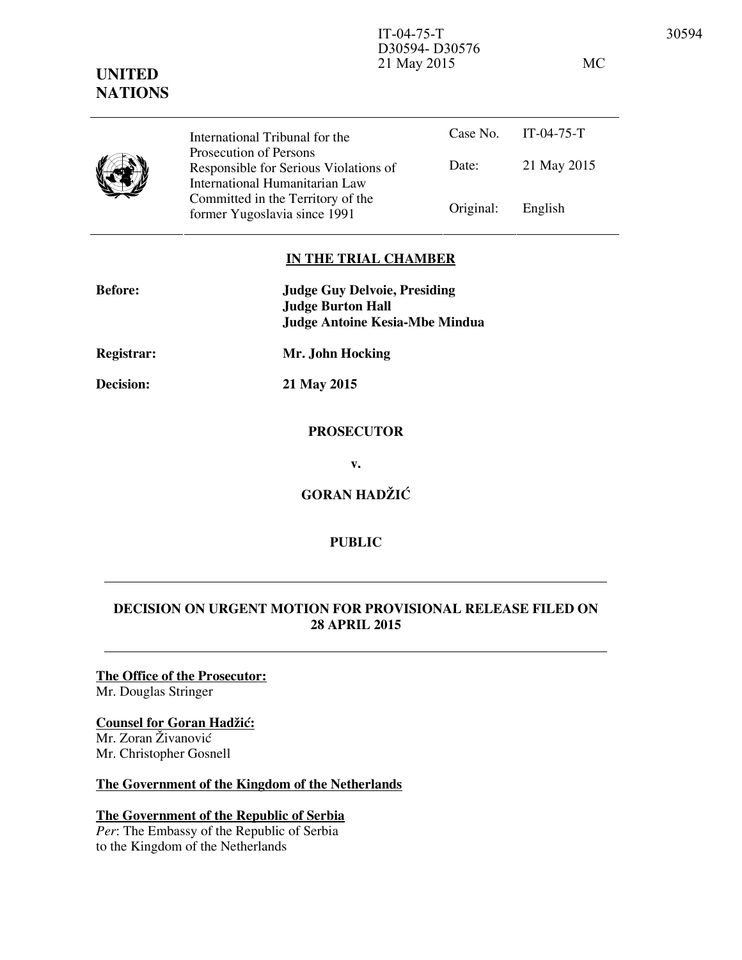D30594- D30576 21 May 2015 MC

Case No. IT-04-75-T Date: 21 May 2015 International Tribunal for the Prosecution of Persons Responsible for Serious Violations of International Humanitarian Law Committed in the Territory of the Former Yugoslavia since 1991 Original: English

## **IN THE TRIAL CHAMBER**

| <b>Before:</b>   | <b>Judge Guy Delvoie, Presiding</b><br><b>Judge Burton Hall</b><br><b>Judge Antoine Kesia-Mbe Mindua</b> |
|------------------|----------------------------------------------------------------------------------------------------------|
| Registrar:       | Mr. John Hocking                                                                                         |
| <b>Decision:</b> | 21 May 2015                                                                                              |
|                  | <b>PROSECUTOR</b>                                                                                        |
|                  | v.                                                                                                       |
|                  | <b>GORAN HADŽIĆ</b>                                                                                      |

**PUBLIC** 

# **DECISION ON URGENT MOTION FOR PROVISIONAL RELEASE FILED ON 28 APRIL 2015**

**The Office of the Prosecutor:** Mr. Douglas Stringer

# **Counsel for Goran Hadžić:**

Mr. Zoran Živanović Mr. Christopher Gosnell

**UNITED NATIONS**

# **The Government of the Kingdom of the Netherlands**

# **The Government of the Republic of Serbia**

*Per*: The Embassy of the Republic of Serbia to the Kingdom of the Netherlands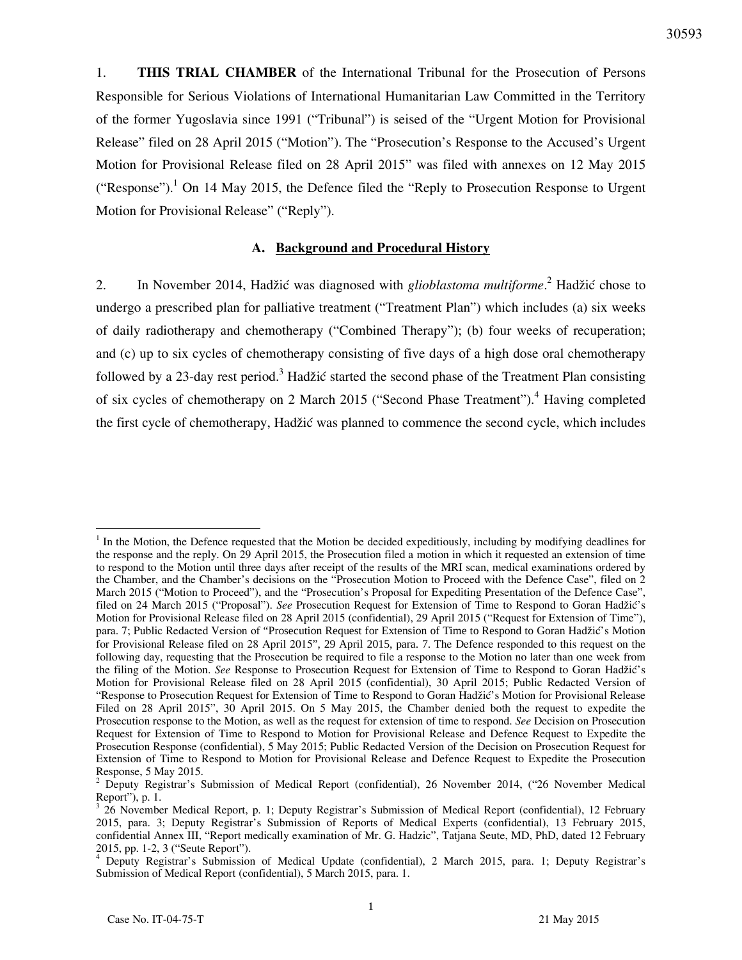1. **THIS TRIAL CHAMBER** of the International Tribunal for the Prosecution of Persons Responsible for Serious Violations of International Humanitarian Law Committed in the Territory of the former Yugoslavia since 1991 ("Tribunal") is seised of the "Urgent Motion for Provisional Release" filed on 28 April 2015 ("Motion"). The "Prosecution's Response to the Accused's Urgent Motion for Provisional Release filed on 28 April 2015" was filed with annexes on 12 May 2015 ("Response").<sup>1</sup> On 14 May 2015, the Defence filed the "Reply to Prosecution Response to Urgent Motion for Provisional Release" ("Reply").

# **A. Background and Procedural History**

2. In November 2014, Hadžić was diagnosed with *glioblastoma multiforme*.<sup>2</sup> Hadžić chose to undergo a prescribed plan for palliative treatment ("Treatment Plan") which includes (a) six weeks of daily radiotherapy and chemotherapy ("Combined Therapy"); (b) four weeks of recuperation; and (c) up to six cycles of chemotherapy consisting of five days of a high dose oral chemotherapy followed by a 23-day rest period.<sup>3</sup> Hadžić started the second phase of the Treatment Plan consisting of six cycles of chemotherapy on 2 March 2015 ("Second Phase Treatment").<sup>4</sup> Having completed the first cycle of chemotherapy, Hadžić was planned to commence the second cycle, which includes

 $<sup>1</sup>$  In the Motion, the Defence requested that the Motion be decided expeditiously, including by modifying deadlines for</sup> the response and the reply. On 29 April 2015, the Prosecution filed a motion in which it requested an extension of time to respond to the Motion until three days after receipt of the results of the MRI scan, medical examinations ordered by the Chamber, and the Chamber's decisions on the "Prosecution Motion to Proceed with the Defence Case", filed on 2 March 2015 ("Motion to Proceed"), and the "Prosecution's Proposal for Expediting Presentation of the Defence Case", filed on 24 March 2015 ("Proposal"). *See* Prosecution Request for Extension of Time to Respond to Goran Hadžić's Motion for Provisional Release filed on 28 April 2015 (confidential), 29 April 2015 ("Request for Extension of Time"), para. 7; Public Redacted Version of "Prosecution Request for Extension of Time to Respond to Goran Hadžić's Motion for Provisional Release filed on 28 April 2015", 29 April 2015, para. 7. The Defence responded to this request on the following day, requesting that the Prosecution be required to file a response to the Motion no later than one week from the filing of the Motion. See Response to Prosecution Request for Extension of Time to Respond to Goran Hadžić's Motion for Provisional Release filed on 28 April 2015 (confidential), 30 April 2015; Public Redacted Version of "Response to Prosecution Request for Extension of Time to Respond to Goran Hadžić's Motion for Provisional Release Filed on 28 April 2015", 30 April 2015. On 5 May 2015, the Chamber denied both the request to expedite the Prosecution response to the Motion, as well as the request for extension of time to respond. *See* Decision on Prosecution Request for Extension of Time to Respond to Motion for Provisional Release and Defence Request to Expedite the Prosecution Response (confidential), 5 May 2015; Public Redacted Version of the Decision on Prosecution Request for Extension of Time to Respond to Motion for Provisional Release and Defence Request to Expedite the Prosecution Response, 5 May 2015.

<sup>&</sup>lt;sup>2</sup> Deputy Registrar's Submission of Medical Report (confidential), 26 November 2014, ("26 November Medical Report"), p. 1.

<sup>3</sup> 26 November Medical Report, p. 1; Deputy Registrar's Submission of Medical Report (confidential), 12 February 2015, para. 3; Deputy Registrar's Submission of Reports of Medical Experts (confidential), 13 February 2015, confidential Annex III, "Report medically examination of Mr. G. Hadzic", Tatjana Seute, MD, PhD, dated 12 February 2015, pp. 1-2, 3 ("Seute Report").

<sup>&</sup>lt;sup>4</sup> Deputy Registrar's Submission of Medical Update (confidential), 2 March 2015, para. 1; Deputy Registrar's Submission of Medical Report (confidential), 5 March 2015, para. 1.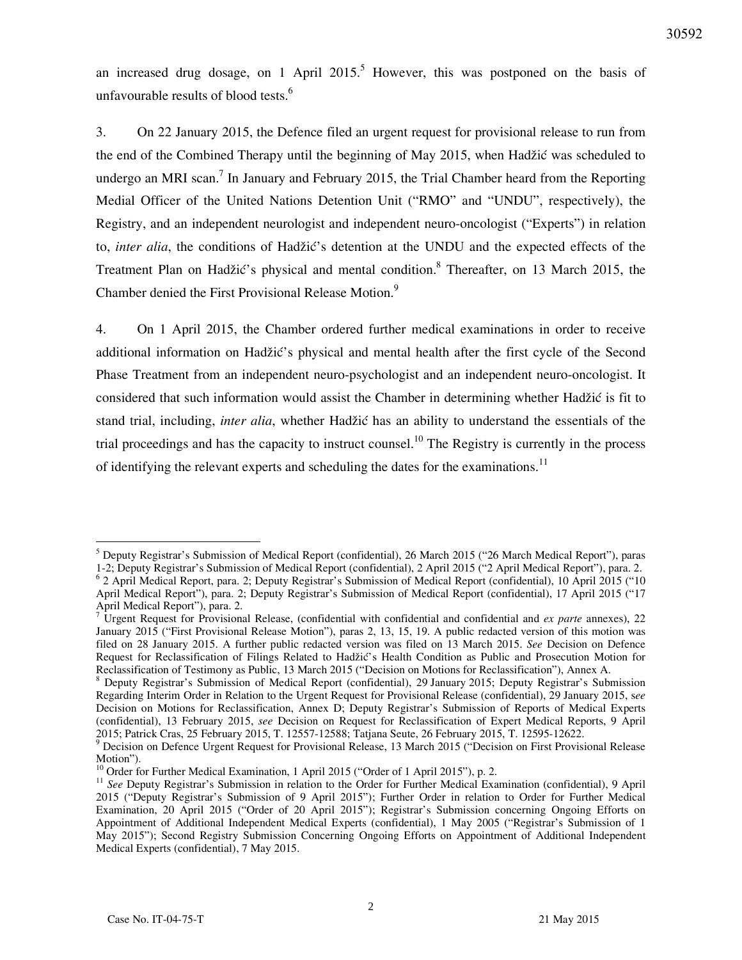an increased drug dosage, on 1 April  $2015$ <sup>5</sup> However, this was postponed on the basis of unfavourable results of blood tests. $<sup>6</sup>$ </sup>

3. On 22 January 2015, the Defence filed an urgent request for provisional release to run from the end of the Combined Therapy until the beginning of May 2015, when Hadžić was scheduled to undergo an MRI scan.<sup>7</sup> In January and February 2015, the Trial Chamber heard from the Reporting Medial Officer of the United Nations Detention Unit ("RMO" and "UNDU", respectively), the Registry, and an independent neurologist and independent neuro-oncologist ("Experts") in relation to, *inter alia*, the conditions of Hadžić's detention at the UNDU and the expected effects of the Treatment Plan on Hadžić's physical and mental condition.<sup>8</sup> Thereafter, on 13 March 2015, the Chamber denied the First Provisional Release Motion.<sup>9</sup>

4. On 1 April 2015, the Chamber ordered further medical examinations in order to receive additional information on Hadžić's physical and mental health after the first cycle of the Second Phase Treatment from an independent neuro-psychologist and an independent neuro-oncologist. It considered that such information would assist the Chamber in determining whether Hadžić is fit to stand trial, including, *inter alia*, whether Hadžić has an ability to understand the essentials of the trial proceedings and has the capacity to instruct counsel.<sup>10</sup> The Registry is currently in the process of identifying the relevant experts and scheduling the dates for the examinations.<sup>11</sup>

 $\ddot{\phantom{a}}$ 

<sup>&</sup>lt;sup>5</sup> Deputy Registrar's Submission of Medical Report (confidential), 26 March 2015 ("26 March Medical Report"), paras

<sup>1-2;</sup> Deputy Registrar's Submission of Medical Report (confidential), 2 April 2015 ("2 April Medical Report"), para. 2. 6 2 April Medical Report, para. 2; Deputy Registrar's Submission of Medical Report (confidential), 10 April 2015 ("10 April Medical Report"), para. 2; Deputy Registrar's Submission of Medical Report (confidential), 17 April 2015 ("17 April Medical Report"), para. 2.<br><sup>7</sup> Haront Bacuest for Provisions

Urgent Request for Provisional Release, (confidential with confidential and confidential and *ex parte* annexes), 22 January 2015 ("First Provisional Release Motion"), paras 2, 13, 15, 19. A public redacted version of this motion was filed on 28 January 2015. A further public redacted version was filed on 13 March 2015. *See* Decision on Defence Request for Reclassification of Filings Related to Hadžić's Health Condition as Public and Prosecution Motion for Reclassification of Testimony as Public, 13 March 2015 ("Decision on Motions for Reclassification"), Annex A.

<sup>&</sup>lt;sup>8</sup> Deputy Registrar's Submission of Medical Report (confidential), 29 January 2015; Deputy Registrar's Submission Regarding Interim Order in Relation to the Urgent Request for Provisional Release (confidential), 29 January 2015, s*ee*  Decision on Motions for Reclassification, Annex D; Deputy Registrar's Submission of Reports of Medical Experts (confidential), 13 February 2015, *see* Decision on Request for Reclassification of Expert Medical Reports, 9 April 2015; Patrick Cras, 25 February 2015, T. 12557-12588; Tatjana Seute, 26 February 2015, T. 12595-12622.

<sup>&</sup>lt;sup>9</sup> Decision on Defence Urgent Request for Provisional Release, 13 March 2015 ("Decision on First Provisional Release Motion").

<sup>&</sup>lt;sup>10</sup> Order for Further Medical Examination, 1 April 2015 ("Order of 1 April 2015"), p. 2.

<sup>&</sup>lt;sup>11</sup> See Deputy Registrar's Submission in relation to the Order for Further Medical Examination (confidential), 9 April 2015 ("Deputy Registrar's Submission of 9 April 2015"); Further Order in relation to Order for Further Medical Examination, 20 April 2015 ("Order of 20 April 2015"); Registrar's Submission concerning Ongoing Efforts on Appointment of Additional Independent Medical Experts (confidential), 1 May 2005 ("Registrar's Submission of 1 May 2015"); Second Registry Submission Concerning Ongoing Efforts on Appointment of Additional Independent Medical Experts (confidential), 7 May 2015.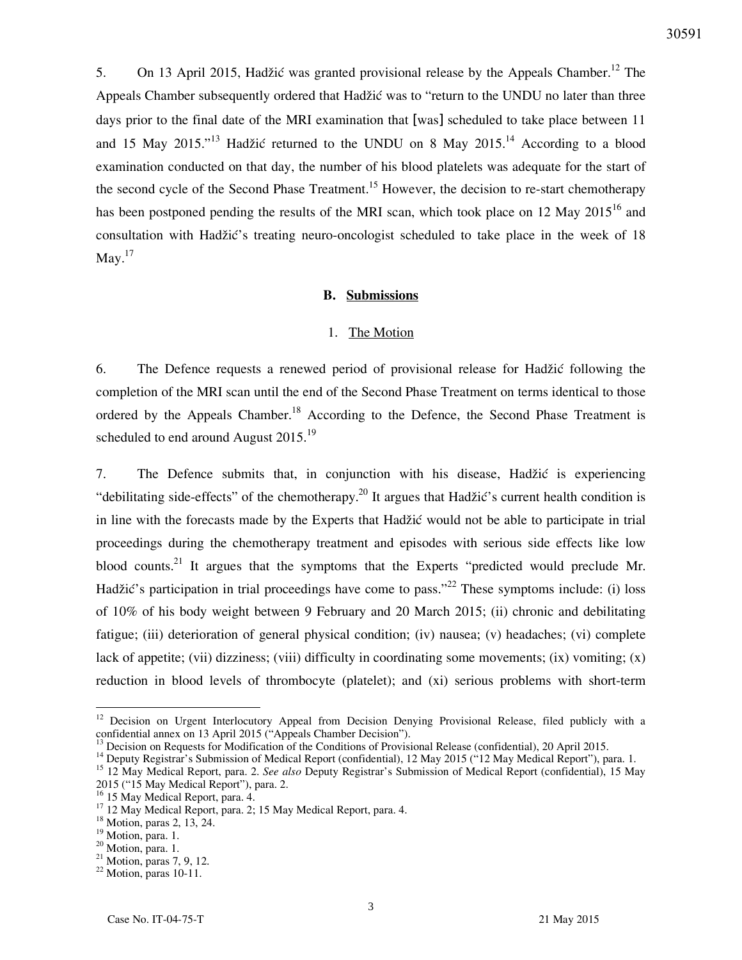5. On 13 April 2015, Hadžić was granted provisional release by the Appeals Chamber.<sup>12</sup> The Appeals Chamber subsequently ordered that Hadžić was to "return to the UNDU no later than three days prior to the final date of the MRI examination that [was] scheduled to take place between 11 and 15 May 2015."<sup>13</sup> Hadžić returned to the UNDU on 8 May 2015.<sup>14</sup> According to a blood examination conducted on that day, the number of his blood platelets was adequate for the start of the second cycle of the Second Phase Treatment.<sup>15</sup> However, the decision to re-start chemotherapy has been postponed pending the results of the MRI scan, which took place on 12 May 2015<sup>16</sup> and consultation with Hadžić's treating neuro-oncologist scheduled to take place in the week of 18 May. $^{17}$ 

#### **B. Submissions**

#### 1. The Motion

6. The Defence requests a renewed period of provisional release for Hadžić following the completion of the MRI scan until the end of the Second Phase Treatment on terms identical to those ordered by the Appeals Chamber.<sup>18</sup> According to the Defence, the Second Phase Treatment is scheduled to end around August  $2015.^{19}$ 

7. The Defence submits that, in conjunction with his disease, Hadžić is experiencing "debilitating side-effects" of the chemotherapy.<sup>20</sup> It argues that Hadžić's current health condition is in line with the forecasts made by the Experts that Hadžić would not be able to participate in trial proceedings during the chemotherapy treatment and episodes with serious side effects like low blood counts.<sup>21</sup> It argues that the symptoms that the Experts "predicted would preclude Mr. Hadžić's participation in trial proceedings have come to pass."<sup>22</sup> These symptoms include: (i) loss of 10% of his body weight between 9 February and 20 March 2015; (ii) chronic and debilitating fatigue; (iii) deterioration of general physical condition; (iv) nausea; (v) headaches; (vi) complete lack of appetite; (vii) dizziness; (viii) difficulty in coordinating some movements; (ix) vomiting; (x) reduction in blood levels of thrombocyte (platelet); and (xi) serious problems with short-term

<sup>&</sup>lt;sup>12</sup> Decision on Urgent Interlocutory Appeal from Decision Denying Provisional Release, filed publicly with a confidential annex on 13 April 2015 ("Appeals Chamber Decision").

 $<sup>13</sup>$  Decision on Requests for Modification of the Conditions of Provisional Release (confidential), 20 April 2015.</sup>

<sup>&</sup>lt;sup>14</sup> Deputy Registrar's Submission of Medical Report (confidential), 12 May 2015 ("12 May Medical Report"), para. 1.

<sup>15</sup> 12 May Medical Report, para. 2. *See also* Deputy Registrar's Submission of Medical Report (confidential), 15 May 2015 ("15 May Medical Report"), para. 2.

<sup>&</sup>lt;sup>16</sup> 15 May Medical Report, para. 4.

<sup>&</sup>lt;sup>17</sup> 12 May Medical Report, para. 2; 15 May Medical Report, para. 4.

<sup>&</sup>lt;sup>18</sup> Motion, paras 2, 13, 24.

<sup>&</sup>lt;sup>19</sup> Motion, para. 1.

<sup>&</sup>lt;sup>20</sup> Motion, para. 1.

 $21$  Motion, paras 7, 9, 12.

 $22$  Motion, paras 10-11.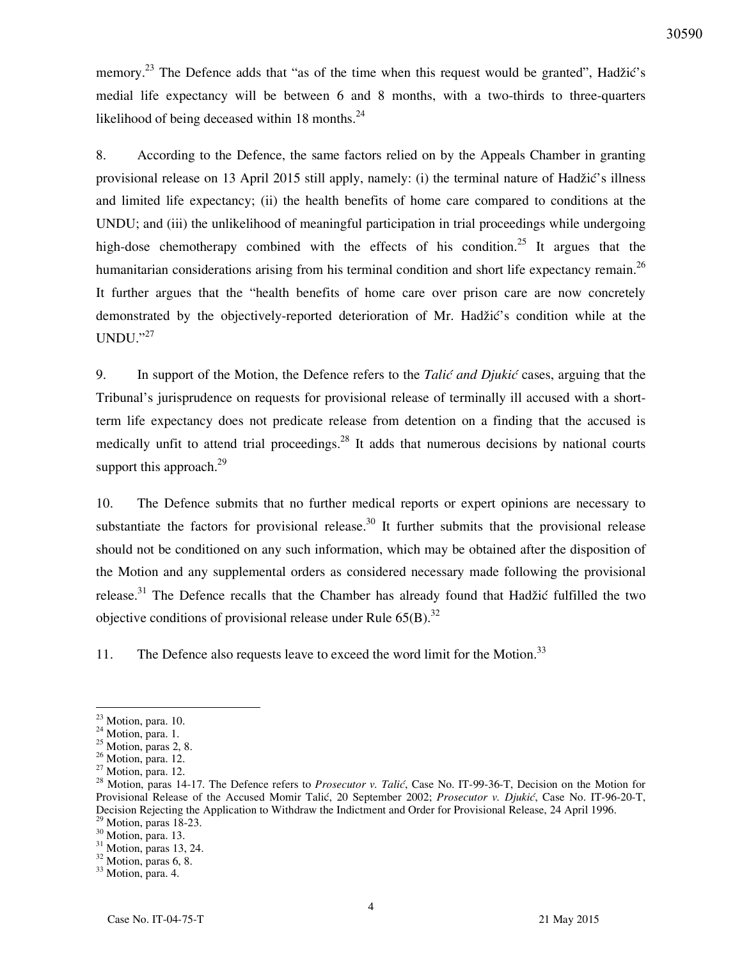memory.<sup>23</sup> The Defence adds that "as of the time when this request would be granted", Hadžić's medial life expectancy will be between 6 and 8 months, with a two-thirds to three-quarters likelihood of being deceased within 18 months. $^{24}$ 

8. According to the Defence, the same factors relied on by the Appeals Chamber in granting provisional release on 13 April 2015 still apply, namely: (i) the terminal nature of Hadžić's illness and limited life expectancy; (ii) the health benefits of home care compared to conditions at the UNDU; and (iii) the unlikelihood of meaningful participation in trial proceedings while undergoing high-dose chemotherapy combined with the effects of his condition.<sup>25</sup> It argues that the humanitarian considerations arising from his terminal condition and short life expectancy remain.<sup>26</sup> It further argues that the "health benefits of home care over prison care are now concretely demonstrated by the objectively-reported deterioration of Mr. Hadžić's condition while at the  $UNDU."^{27}$ 

9. In support of the Motion, the Defence refers to the *Tali} and Djuki}* cases, arguing that the Tribunal's jurisprudence on requests for provisional release of terminally ill accused with a shortterm life expectancy does not predicate release from detention on a finding that the accused is medically unfit to attend trial proceedings.<sup>28</sup> It adds that numerous decisions by national courts support this approach. $^{29}$ 

10. The Defence submits that no further medical reports or expert opinions are necessary to substantiate the factors for provisional release.<sup>30</sup> It further submits that the provisional release should not be conditioned on any such information, which may be obtained after the disposition of the Motion and any supplemental orders as considered necessary made following the provisional release.<sup>31</sup> The Defence recalls that the Chamber has already found that Hadžić fulfilled the two objective conditions of provisional release under Rule  $65(B)$ .<sup>32</sup>

11. The Defence also requests leave to exceed the word limit for the Motion.<sup>33</sup>

 $23$  Motion, para. 10.

<sup>&</sup>lt;sup>24</sup> Motion, para. 1.

 $25$  Motion, paras 2, 8.

<sup>&</sup>lt;sup>26</sup> Motion, para. 12.

 $27$  Motion, para. 12.

<sup>&</sup>lt;sup>28</sup> Motion, paras 14-17. The Defence refers to *Prosecutor v. Talić*, Case No. IT-99-36-T, Decision on the Motion for Provisional Release of the Accused Momir Talić, 20 September 2002; *Prosecutor v. Djukić*, Case No. IT-96-20-T, Decision Rejecting the Application to Withdraw the Indictment and Order for Provisional Release, 24 April 1996.  $29$  Motion, paras 18-23.

<sup>&</sup>lt;sup>30</sup> Motion, para. 13.

 $31$  Motion, paras 13, 24.

<sup>&</sup>lt;sup>32</sup> Motion, paras 6, 8.

<sup>&</sup>lt;sup>33</sup> Motion, para. 4.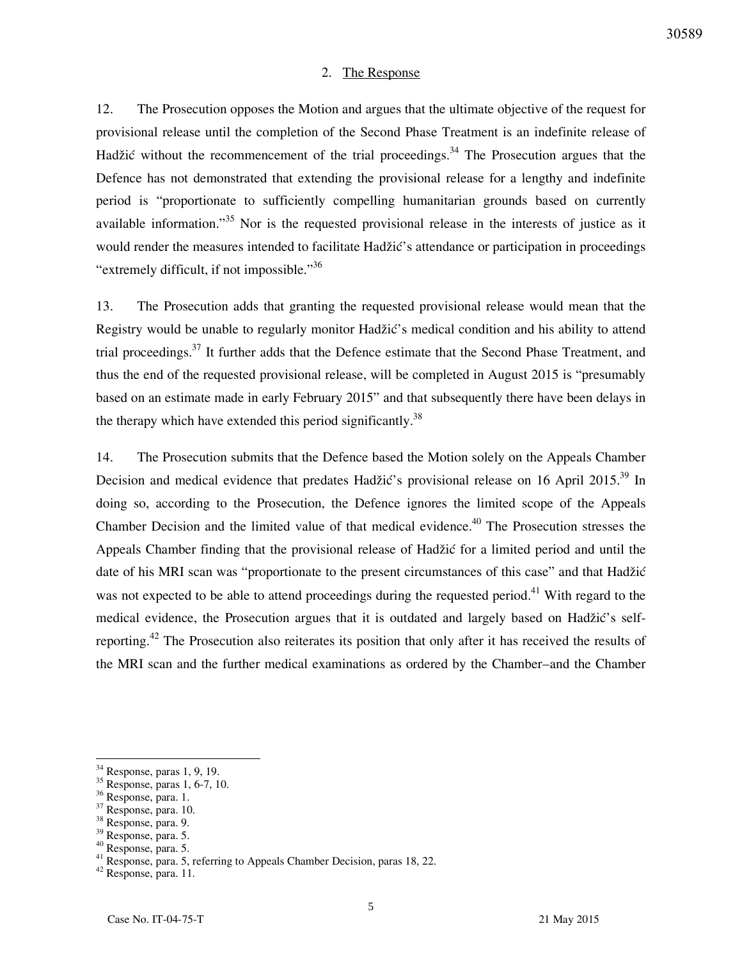#### 2. The Response

12. The Prosecution opposes the Motion and argues that the ultimate objective of the request for provisional release until the completion of the Second Phase Treatment is an indefinite release of Hadžić without the recommencement of the trial proceedings.<sup>34</sup> The Prosecution argues that the Defence has not demonstrated that extending the provisional release for a lengthy and indefinite period is "proportionate to sufficiently compelling humanitarian grounds based on currently available information."<sup>35</sup> Nor is the requested provisional release in the interests of justice as it would render the measures intended to facilitate Hadžić's attendance or participation in proceedings "extremely difficult, if not impossible."<sup>36</sup>

13. The Prosecution adds that granting the requested provisional release would mean that the Registry would be unable to regularly monitor Hadžić's medical condition and his ability to attend trial proceedings.<sup>37</sup> It further adds that the Defence estimate that the Second Phase Treatment, and thus the end of the requested provisional release, will be completed in August 2015 is "presumably based on an estimate made in early February 2015" and that subsequently there have been delays in the therapy which have extended this period significantly.<sup>38</sup>

14. The Prosecution submits that the Defence based the Motion solely on the Appeals Chamber Decision and medical evidence that predates Hadžić's provisional release on 16 April 2015.<sup>39</sup> In doing so, according to the Prosecution, the Defence ignores the limited scope of the Appeals Chamber Decision and the limited value of that medical evidence.<sup>40</sup> The Prosecution stresses the Appeals Chamber finding that the provisional release of Hadžić for a limited period and until the date of his MRI scan was "proportionate to the present circumstances of this case" and that Hadžić was not expected to be able to attend proceedings during the requested period.<sup>41</sup> With regard to the medical evidence, the Prosecution argues that it is outdated and largely based on Hadžić's selfreporting.<sup>42</sup> The Prosecution also reiterates its position that only after it has received the results of the MRI scan and the further medical examinations as ordered by the Chamber–and the Chamber

 $\overline{a}$ 

<sup>42</sup> Response, para. 11.

 $34$  Response, paras 1, 9, 19.

<sup>35</sup> Response, paras 1, 6-7, 10.

<sup>36</sup> Response, para. 1.

<sup>37</sup> Response, para. 10.

<sup>38</sup> Response, para. 9.

<sup>39</sup> Response, para. 5.

<sup>40</sup> Response, para. 5.

<sup>&</sup>lt;sup>41</sup> Response, para. 5, referring to Appeals Chamber Decision, paras 18, 22.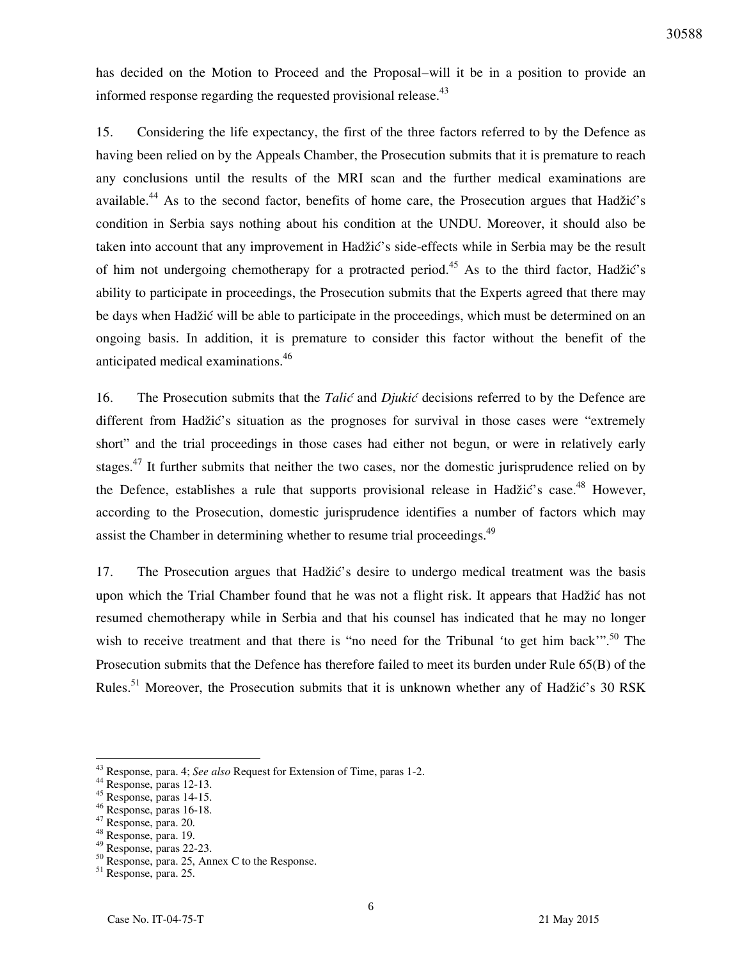has decided on the Motion to Proceed and the Proposal–will it be in a position to provide an informed response regarding the requested provisional release.<sup>43</sup>

15. Considering the life expectancy, the first of the three factors referred to by the Defence as having been relied on by the Appeals Chamber, the Prosecution submits that it is premature to reach any conclusions until the results of the MRI scan and the further medical examinations are available.<sup>44</sup> As to the second factor, benefits of home care, the Prosecution argues that Hadžić's condition in Serbia says nothing about his condition at the UNDU. Moreover, it should also be taken into account that any improvement in Hadžić's side-effects while in Serbia may be the result of him not undergoing chemotherapy for a protracted period.<sup>45</sup> As to the third factor, Hadžić's ability to participate in proceedings, the Prosecution submits that the Experts agreed that there may be days when Hadžić will be able to participate in the proceedings, which must be determined on an ongoing basis. In addition, it is premature to consider this factor without the benefit of the anticipated medical examinations.<sup>46</sup>

16. The Prosecution submits that the *Talić* and *Djukić* decisions referred to by the Defence are different from Hadžić's situation as the prognoses for survival in those cases were "extremely short" and the trial proceedings in those cases had either not begun, or were in relatively early stages.<sup>47</sup> It further submits that neither the two cases, nor the domestic jurisprudence relied on by the Defence, establishes a rule that supports provisional release in Hadžić's case.<sup>48</sup> However, according to the Prosecution, domestic jurisprudence identifies a number of factors which may assist the Chamber in determining whether to resume trial proceedings.<sup>49</sup>

17. The Prosecution argues that Hadžić's desire to undergo medical treatment was the basis upon which the Trial Chamber found that he was not a flight risk. It appears that Hadžić has not resumed chemotherapy while in Serbia and that his counsel has indicated that he may no longer wish to receive treatment and that there is "no need for the Tribunal 'to get him back'".<sup>50</sup> The Prosecution submits that the Defence has therefore failed to meet its burden under Rule 65(B) of the Rules.<sup>51</sup> Moreover, the Prosecution submits that it is unknown whether any of Hadžić's 30 RSK

<sup>43</sup> Response, para. 4; *See also* Request for Extension of Time, paras 1-2.

<sup>44</sup> Response, paras 12-13.

 $45$  Response, paras 14-15.

<sup>46</sup> Response, paras 16-18.

<sup>47</sup> Response, para. 20.

<sup>48</sup> Response, para. 19.

 $49$  Response, paras 22-23.

 $50$  Response, para. 25, Annex C to the Response.

<sup>51</sup> Response, para. 25.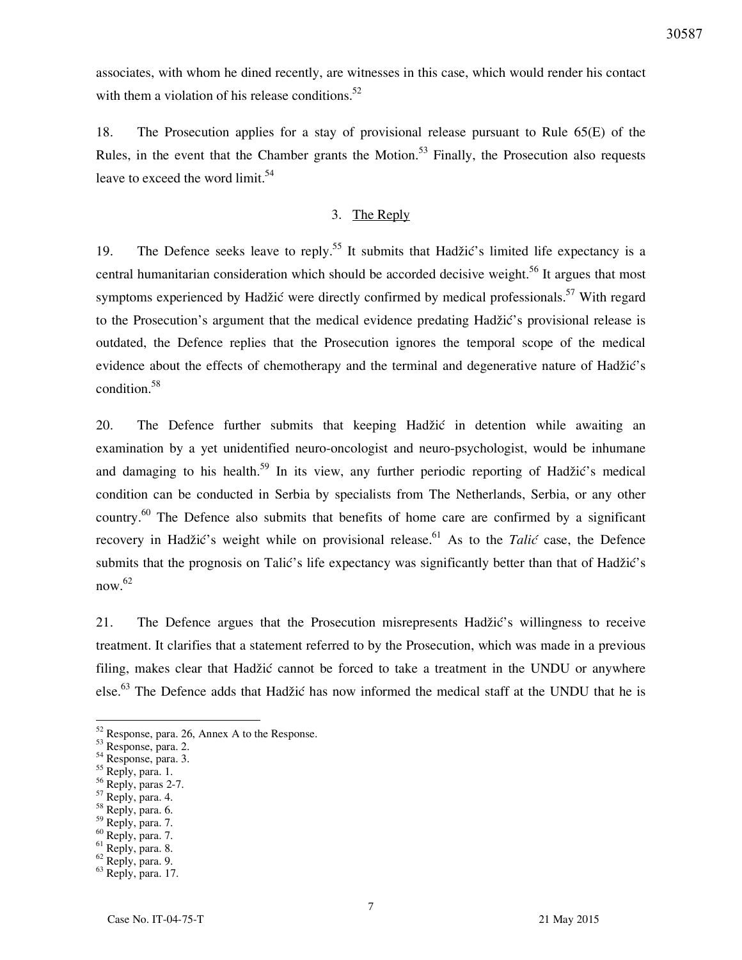associates, with whom he dined recently, are witnesses in this case, which would render his contact with them a violation of his release conditions.<sup>52</sup>

18. The Prosecution applies for a stay of provisional release pursuant to Rule 65(E) of the Rules, in the event that the Chamber grants the Motion.<sup>53</sup> Finally, the Prosecution also requests leave to exceed the word limit.<sup>54</sup>

### 3. The Reply

19. The Defence seeks leave to reply.<sup>55</sup> It submits that Hadžić's limited life expectancy is a central humanitarian consideration which should be accorded decisive weight.<sup>56</sup> It argues that most symptoms experienced by Hadžić were directly confirmed by medical professionals.<sup>57</sup> With regard to the Prosecution's argument that the medical evidence predating Hadžić's provisional release is outdated, the Defence replies that the Prosecution ignores the temporal scope of the medical evidence about the effects of chemotherapy and the terminal and degenerative nature of Hadžić's condition.<sup>58</sup>

20. The Defence further submits that keeping Hadžić in detention while awaiting an examination by a yet unidentified neuro-oncologist and neuro-psychologist, would be inhumane and damaging to his health.<sup>59</sup> In its view, any further periodic reporting of Hadžić's medical condition can be conducted in Serbia by specialists from The Netherlands, Serbia, or any other country.<sup>60</sup> The Defence also submits that benefits of home care are confirmed by a significant recovery in Hadžić's weight while on provisional release.<sup>61</sup> As to the *Talić* case, the Defence submits that the prognosis on Talić's life expectancy was significantly better than that of Hadžić's now. 62

21. The Defence argues that the Prosecution misrepresents Hadžić's willingness to receive treatment. It clarifies that a statement referred to by the Prosecution, which was made in a previous filing, makes clear that Hadžić cannot be forced to take a treatment in the UNDU or anywhere else.<sup>63</sup> The Defence adds that Hadžić has now informed the medical staff at the UNDU that he is

- $56$  Reply, paras 2-7.
- $57$  Reply, para. 4.
- $58$  Reply, para. 6.
- <sup>59</sup> Reply, para. 7.
- $60$  Reply, para. 7. <sup>61</sup> Reply, para. 8.
- <sup>62</sup> Reply, para. 9.

<sup>&</sup>lt;sup>52</sup> Response, para. 26, Annex A to the Response.

<sup>53</sup> Response, para. 2.

<sup>54</sup> Response, para. 3.

 $55$  Reply, para. 1.

<sup>63</sup> Reply, para. 17.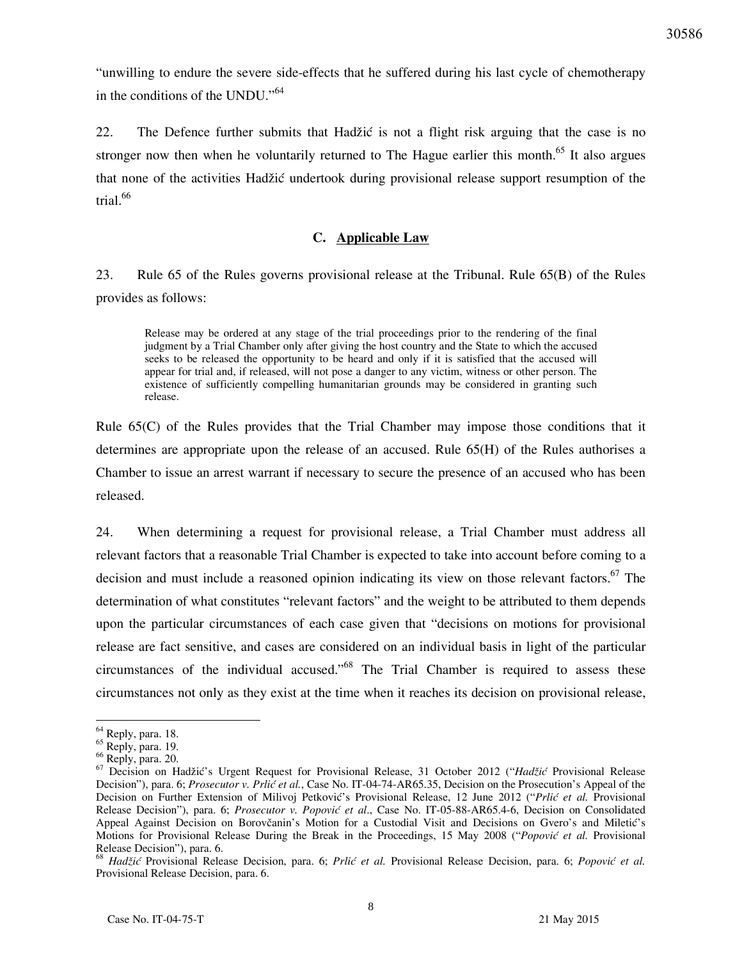"unwilling to endure the severe side-effects that he suffered during his last cycle of chemotherapy in the conditions of the UNDU."<sup>64</sup>

22. The Defence further submits that Hadžić is not a flight risk arguing that the case is no stronger now then when he voluntarily returned to The Hague earlier this month.<sup>65</sup> It also argues that none of the activities Hadžić undertook during provisional release support resumption of the trial.<sup>66</sup>

### **C. Applicable Law**

23. Rule 65 of the Rules governs provisional release at the Tribunal. Rule 65(B) of the Rules provides as follows:

Release may be ordered at any stage of the trial proceedings prior to the rendering of the final judgment by a Trial Chamber only after giving the host country and the State to which the accused seeks to be released the opportunity to be heard and only if it is satisfied that the accused will appear for trial and, if released, will not pose a danger to any victim, witness or other person. The existence of sufficiently compelling humanitarian grounds may be considered in granting such release.

Rule 65(C) of the Rules provides that the Trial Chamber may impose those conditions that it determines are appropriate upon the release of an accused. Rule 65(H) of the Rules authorises a Chamber to issue an arrest warrant if necessary to secure the presence of an accused who has been released.

24. When determining a request for provisional release, a Trial Chamber must address all relevant factors that a reasonable Trial Chamber is expected to take into account before coming to a decision and must include a reasoned opinion indicating its view on those relevant factors.<sup>67</sup> The determination of what constitutes "relevant factors" and the weight to be attributed to them depends upon the particular circumstances of each case given that "decisions on motions for provisional release are fact sensitive, and cases are considered on an individual basis in light of the particular circumstances of the individual accused.<sup> $.68$ </sup> The Trial Chamber is required to assess these circumstances not only as they exist at the time when it reaches its decision on provisional release,

<sup>&</sup>lt;sup>64</sup> Reply, para. 18.

<sup>65</sup> Reply, para. 19.

<sup>66</sup> Reply, para. 20.

<sup>67</sup> Decision on Hadžić's Urgent Request for Provisional Release, 31 October 2012 ("*Hadžić* Provisional Release Decision"), para. 6; *Prosecutor v. Prlić et al.*, Case No. IT-04-74-AR65.35, Decision on the Prosecution's Appeal of the Decision on Further Extension of Milivoj Petković's Provisional Release, 12 June 2012 ("*Prlić et al.* Provisional Release Decision"), para. 6; *Prosecutor v. Popović et al*., Case No. IT-05-88-AR65.4-6, Decision on Consolidated Appeal Against Decision on Borovčanin's Motion for a Custodial Visit and Decisions on Gvero's and Miletić's Motions for Provisional Release During the Break in the Proceedings, 15 May 2008 ("*Popović et al.* Provisional Release Decision"), para. 6.

<sup>68</sup> *Hadžić* Provisional Release Decision, para. 6; *Prlić et al.* Provisional Release Decision, para. 6; *Popović et al.* Provisional Release Decision, para. 6.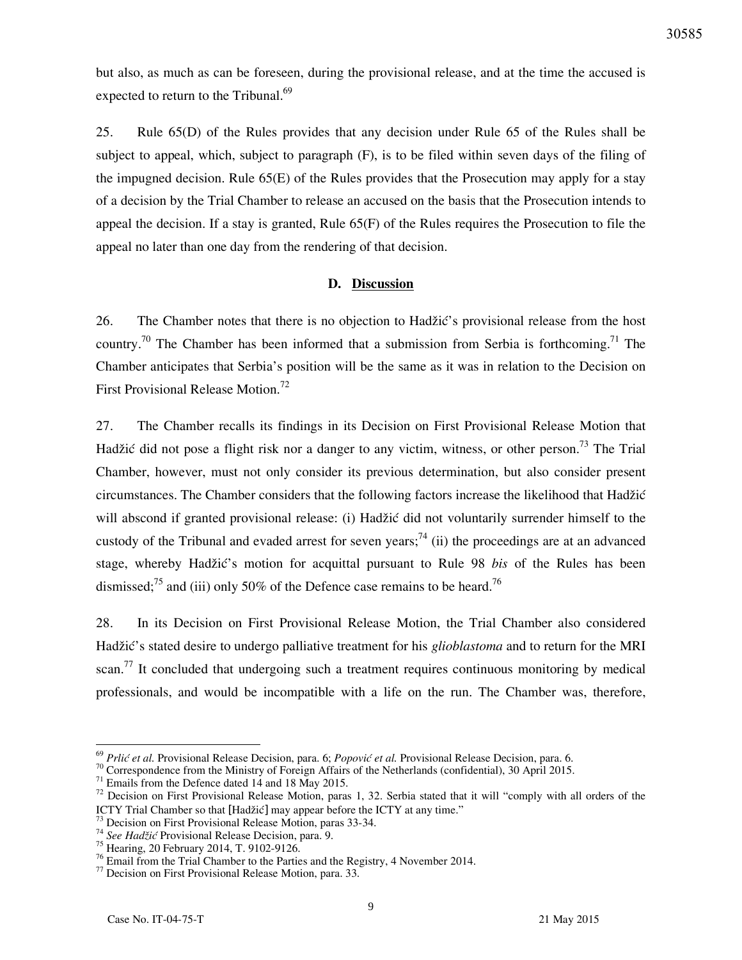but also, as much as can be foreseen, during the provisional release, and at the time the accused is expected to return to the Tribunal. $69$ 

25. Rule 65(D) of the Rules provides that any decision under Rule 65 of the Rules shall be subject to appeal, which, subject to paragraph (F), is to be filed within seven days of the filing of the impugned decision. Rule 65(E) of the Rules provides that the Prosecution may apply for a stay of a decision by the Trial Chamber to release an accused on the basis that the Prosecution intends to appeal the decision. If a stay is granted, Rule 65(F) of the Rules requires the Prosecution to file the appeal no later than one day from the rendering of that decision.

### **D. Discussion**

26. The Chamber notes that there is no objection to Hadžić's provisional release from the host country.<sup>70</sup> The Chamber has been informed that a submission from Serbia is forthcoming.<sup>71</sup> The Chamber anticipates that Serbia's position will be the same as it was in relation to the Decision on First Provisional Release Motion.<sup>72</sup>

27. The Chamber recalls its findings in its Decision on First Provisional Release Motion that Hadžić did not pose a flight risk nor a danger to any victim, witness, or other person.<sup>73</sup> The Trial Chamber, however, must not only consider its previous determination, but also consider present circumstances. The Chamber considers that the following factors increase the likelihood that Hadžić will abscond if granted provisional release: (i) Hadžić did not voluntarily surrender himself to the custody of the Tribunal and evaded arrest for seven years;<sup>74</sup> (ii) the proceedings are at an advanced stage, whereby Hadžić's motion for acquittal pursuant to Rule 98 *bis* of the Rules has been dismissed;<sup>75</sup> and (iii) only 50% of the Defence case remains to be heard.<sup>76</sup>

28. In its Decision on First Provisional Release Motion, the Trial Chamber also considered Hadžić's stated desire to undergo palliative treatment for his *glioblastoma* and to return for the MRI scan.<sup>77</sup> It concluded that undergoing such a treatment requires continuous monitoring by medical professionals, and would be incompatible with a life on the run. The Chamber was, therefore,

<sup>69</sup> *Prlić et al.* Provisional Release Decision, para. 6; *Popović et al.* Provisional Release Decision, para. 6.

 $70$  Correspondence from the Ministry of Foreign Affairs of the Netherlands (confidential), 30 April 2015.

 $71$  Emails from the Defence dated 14 and 18 May 2015.

<sup>&</sup>lt;sup>72</sup> Decision on First Provisional Release Motion, paras 1, 32. Serbia stated that it will "comply with all orders of the ICTY Trial Chamber so that [Hadžić] may appear before the ICTY at any time."

 $3$  Decision on First Provisional Release Motion, paras 33-34.

<sup>74</sup> *See Hadžić* Provisional Release Decision, para. 9.

<sup>&</sup>lt;sup>75</sup> Hearing, 20 February 2014, T. 9102-9126.

<sup>&</sup>lt;sup>76</sup> Email from the Trial Chamber to the Parties and the Registry, 4 November 2014.

<sup>77</sup> Decision on First Provisional Release Motion, para. 33.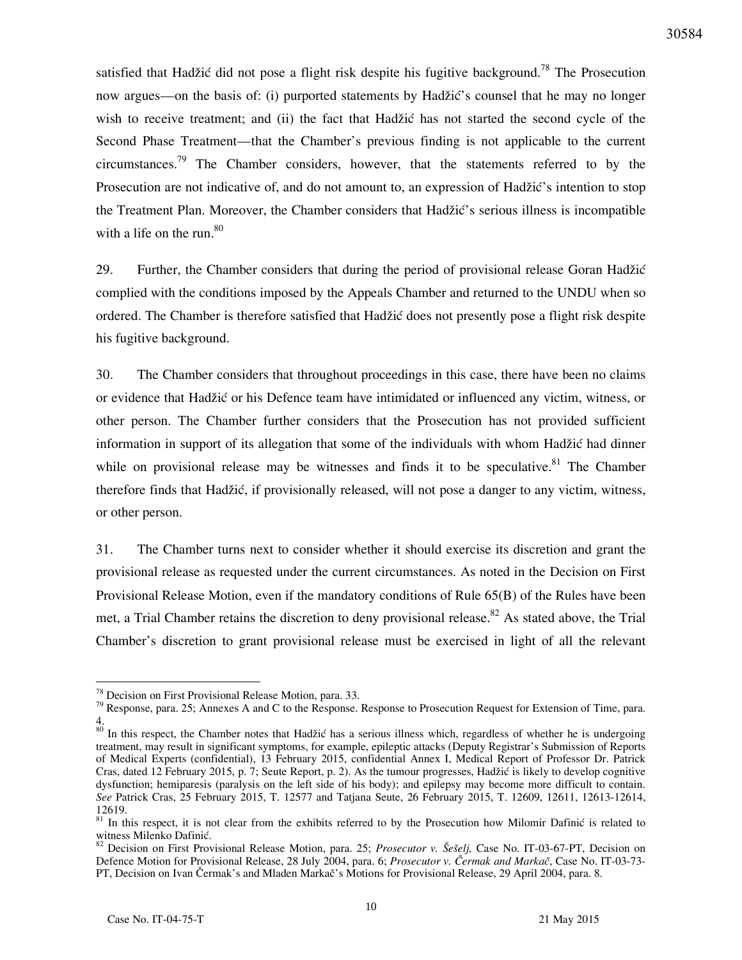satisfied that Hadžić did not pose a flight risk despite his fugitive background.<sup>78</sup> The Prosecution now argues—on the basis of: (i) purported statements by Hadžić's counsel that he may no longer wish to receive treatment; and (ii) the fact that Hadžić has not started the second cycle of the Second Phase Treatment—that the Chamber's previous finding is not applicable to the current circumstances.<sup>79</sup> The Chamber considers, however, that the statements referred to by the Prosecution are not indicative of, and do not amount to, an expression of Hadžić's intention to stop the Treatment Plan. Moreover, the Chamber considers that Hadžić's serious illness is incompatible with a life on the run.<sup>80</sup>

29. Further, the Chamber considers that during the period of provisional release Goran Hadžić complied with the conditions imposed by the Appeals Chamber and returned to the UNDU when so ordered. The Chamber is therefore satisfied that Hadžić does not presently pose a flight risk despite his fugitive background.

30. The Chamber considers that throughout proceedings in this case, there have been no claims or evidence that Hadžić or his Defence team have intimidated or influenced any victim, witness, or other person. The Chamber further considers that the Prosecution has not provided sufficient information in support of its allegation that some of the individuals with whom Hadžić had dinner while on provisional release may be witnesses and finds it to be speculative.<sup>81</sup> The Chamber therefore finds that Hadžić, if provisionally released, will not pose a danger to any victim, witness, or other person.

31. The Chamber turns next to consider whether it should exercise its discretion and grant the provisional release as requested under the current circumstances. As noted in the Decision on First Provisional Release Motion, even if the mandatory conditions of Rule 65(B) of the Rules have been met, a Trial Chamber retains the discretion to deny provisional release.<sup>82</sup> As stated above, the Trial Chamber's discretion to grant provisional release must be exercised in light of all the relevant

 $78$  Decision on First Provisional Release Motion, para. 33.

 $79$  Response, para. 25; Annexes A and C to the Response. Response to Prosecution Request for Extension of Time, para. 4.

<sup>&</sup>lt;sup>80</sup> In this respect, the Chamber notes that Hadžić has a serious illness which, regardless of whether he is undergoing treatment, may result in significant symptoms, for example, epileptic attacks (Deputy Registrar's Submission of Reports of Medical Experts (confidential), 13 February 2015, confidential Annex I, Medical Report of Professor Dr. Patrick Cras, dated 12 February 2015, p. 7; Seute Report, p. 2). As the tumour progresses, Hadžić is likely to develop cognitive dysfunction; hemiparesis (paralysis on the left side of his body); and epilepsy may become more difficult to contain. *See* Patrick Cras, 25 February 2015, T. 12577 and Tatjana Seute, 26 February 2015, T. 12609, 12611, 12613-12614, 12619.

<sup>&</sup>lt;sup>81</sup> In this respect, it is not clear from the exhibits referred to by the Prosecution how Milomir Dafinic is related to witness Milenko Dafinić.

<sup>&</sup>lt;sup>82</sup> Decision on First Provisional Release Motion, para. 25; *Prosecutor v. Šešelj*, Case No. IT-03-67-PT, Decision on Defence Motion for Provisional Release, 28 July 2004, para. 6; *Prosecutor v. Čermak and Markač*, Case No. IT-03-73-PT, Decision on Ivan Čermak's and Mladen Markač's Motions for Provisional Release, 29 April 2004, para. 8.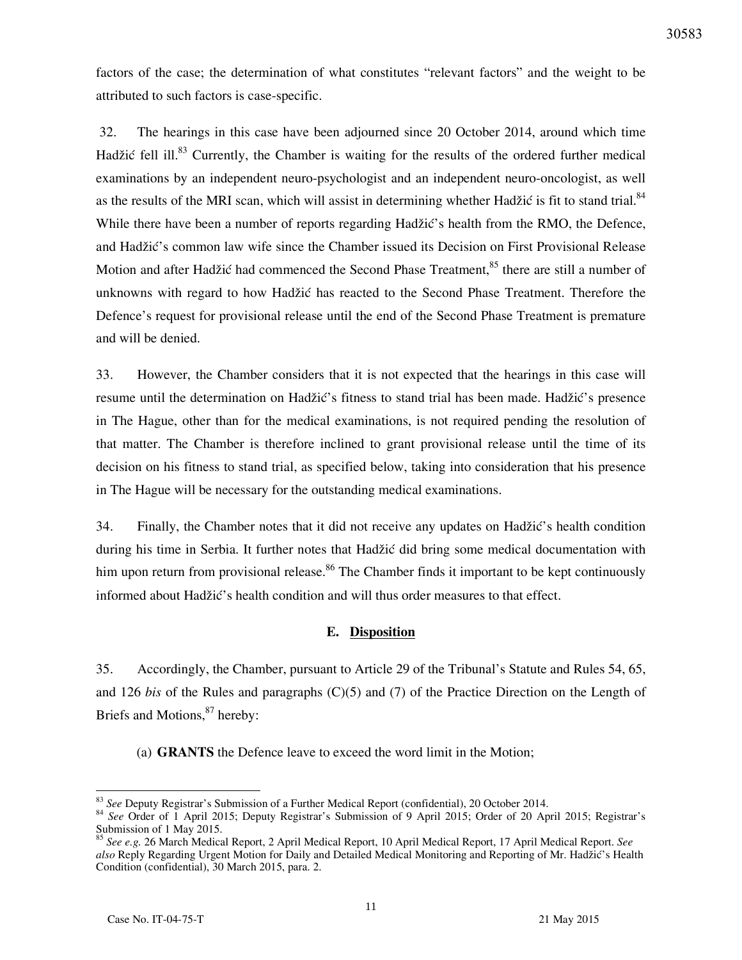factors of the case; the determination of what constitutes "relevant factors" and the weight to be attributed to such factors is case-specific.

 32. The hearings in this case have been adjourned since 20 October 2014, around which time Hadžić fell ill.<sup>83</sup> Currently, the Chamber is waiting for the results of the ordered further medical examinations by an independent neuro-psychologist and an independent neuro-oncologist, as well as the results of the MRI scan, which will assist in determining whether Hadžić is fit to stand trial. $84$ While there have been a number of reports regarding Hadžić's health from the RMO, the Defence, and Hadžić's common law wife since the Chamber issued its Decision on First Provisional Release Motion and after Hadžić had commenced the Second Phase Treatment,<sup>85</sup> there are still a number of unknowns with regard to how Hadžić has reacted to the Second Phase Treatment. Therefore the Defence's request for provisional release until the end of the Second Phase Treatment is premature and will be denied.

33. However, the Chamber considers that it is not expected that the hearings in this case will resume until the determination on Hadžić's fitness to stand trial has been made. Hadžić's presence in The Hague, other than for the medical examinations, is not required pending the resolution of that matter. The Chamber is therefore inclined to grant provisional release until the time of its decision on his fitness to stand trial, as specified below, taking into consideration that his presence in The Hague will be necessary for the outstanding medical examinations.

34. Finally, the Chamber notes that it did not receive any updates on Hadžić's health condition during his time in Serbia. It further notes that Hadžić did bring some medical documentation with him upon return from provisional release.<sup>86</sup> The Chamber finds it important to be kept continuously informed about Hadžić's health condition and will thus order measures to that effect.

### **E. Disposition**

35. Accordingly, the Chamber, pursuant to Article 29 of the Tribunal's Statute and Rules 54, 65, and 126 *bis* of the Rules and paragraphs (C)(5) and (7) of the Practice Direction on the Length of Briefs and Motions, $87$  hereby:

(a) **GRANTS** the Defence leave to exceed the word limit in the Motion;

<sup>83</sup> *See* Deputy Registrar's Submission of a Further Medical Report (confidential), 20 October 2014.

<sup>84</sup> *See* Order of 1 April 2015; Deputy Registrar's Submission of 9 April 2015; Order of 20 April 2015; Registrar's Submission of 1 May 2015.

<sup>85</sup> *See e.g.* 26 March Medical Report, 2 April Medical Report, 10 April Medical Report, 17 April Medical Report. *See*  also Reply Regarding Urgent Motion for Daily and Detailed Medical Monitoring and Reporting of Mr. Hadžić's Health Condition (confidential), 30 March 2015, para. 2.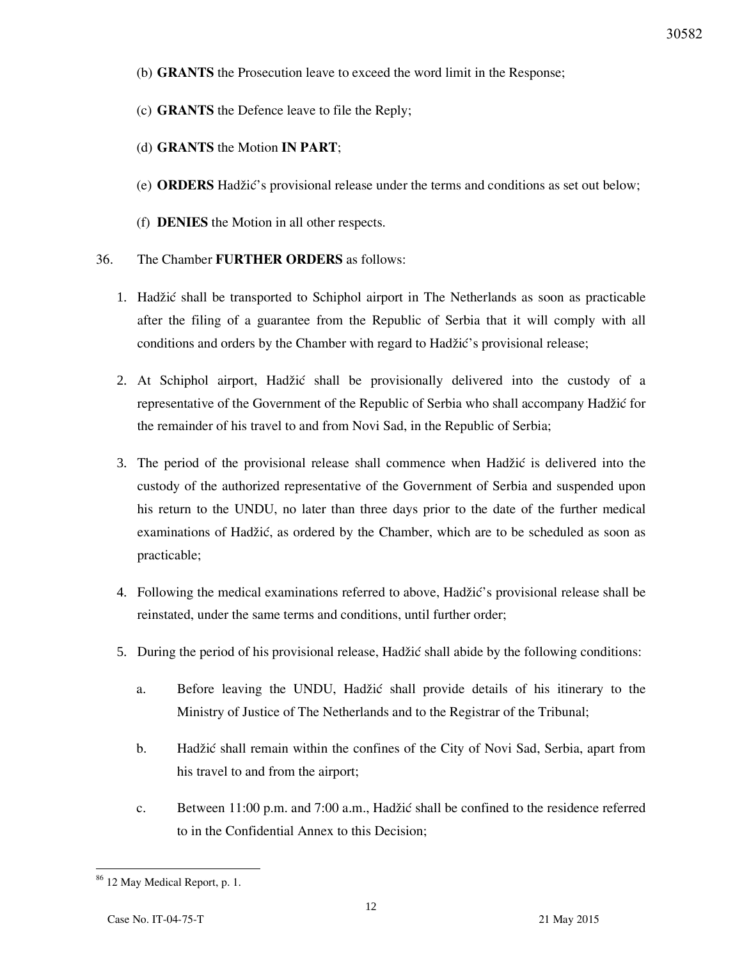- (b) **GRANTS** the Prosecution leave to exceed the word limit in the Response;
- (c) **GRANTS** the Defence leave to file the Reply;
- (d) **GRANTS** the Motion **IN PART**;
- (e) **ORDERS** Hadžić's provisional release under the terms and conditions as set out below;
- (f) **DENIES** the Motion in all other respects.
- 36. The Chamber **FURTHER ORDERS** as follows:
	- 1. Hadžić shall be transported to Schiphol airport in The Netherlands as soon as practicable after the filing of a guarantee from the Republic of Serbia that it will comply with all conditions and orders by the Chamber with regard to Hadžić's provisional release;
	- 2. At Schiphol airport, Hadžić shall be provisionally delivered into the custody of a representative of the Government of the Republic of Serbia who shall accompany Hadžić for the remainder of his travel to and from Novi Sad, in the Republic of Serbia;
	- 3. The period of the provisional release shall commence when Hadžić is delivered into the custody of the authorized representative of the Government of Serbia and suspended upon his return to the UNDU, no later than three days prior to the date of the further medical examinations of Hadžić, as ordered by the Chamber, which are to be scheduled as soon as practicable;
	- 4. Following the medical examinations referred to above, Hadžić's provisional release shall be reinstated, under the same terms and conditions, until further order;
	- 5. During the period of his provisional release, Hadžić shall abide by the following conditions:
		- a. Before leaving the UNDU, Hadžić shall provide details of his itinerary to the Ministry of Justice of The Netherlands and to the Registrar of the Tribunal;
		- b. Hadžić shall remain within the confines of the City of Novi Sad, Serbia, apart from his travel to and from the airport;
		- c. Between 11:00 p.m. and 7:00 a.m., Hadžić shall be confined to the residence referred to in the Confidential Annex to this Decision;

 $\overline{a}$ <sup>86</sup> 12 May Medical Report, p. 1.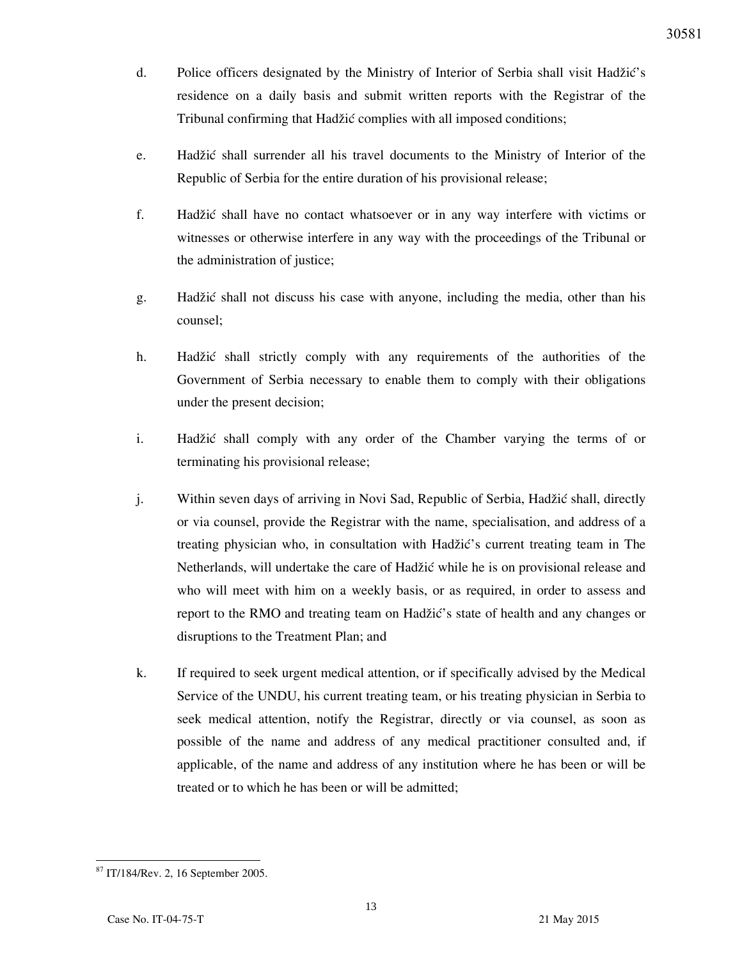- d. Police officers designated by the Ministry of Interior of Serbia shall visit Hadžić's residence on a daily basis and submit written reports with the Registrar of the Tribunal confirming that Hadžić complies with all imposed conditions;
- e. Hadžić shall surrender all his travel documents to the Ministry of Interior of the Republic of Serbia for the entire duration of his provisional release;
- f. Hadžić shall have no contact whatsoever or in any way interfere with victims or witnesses or otherwise interfere in any way with the proceedings of the Tribunal or the administration of justice;
- g. Hadžić shall not discuss his case with anyone, including the media, other than his counsel;
- h. Hadžić shall strictly comply with any requirements of the authorities of the Government of Serbia necessary to enable them to comply with their obligations under the present decision;
- i. Hadžić shall comply with any order of the Chamber varying the terms of or terminating his provisional release;
- j. Within seven days of arriving in Novi Sad, Republic of Serbia, Hadžić shall, directly or via counsel, provide the Registrar with the name, specialisation, and address of a treating physician who, in consultation with Hadžić's current treating team in The Netherlands, will undertake the care of Hadžić while he is on provisional release and who will meet with him on a weekly basis, or as required, in order to assess and report to the RMO and treating team on Hadžić's state of health and any changes or disruptions to the Treatment Plan; and
- k. If required to seek urgent medical attention, or if specifically advised by the Medical Service of the UNDU, his current treating team, or his treating physician in Serbia to seek medical attention, notify the Registrar, directly or via counsel, as soon as possible of the name and address of any medical practitioner consulted and, if applicable, of the name and address of any institution where he has been or will be treated or to which he has been or will be admitted;

 $\overline{a}$ <sup>87</sup> IT/184/Rev. 2, 16 September 2005.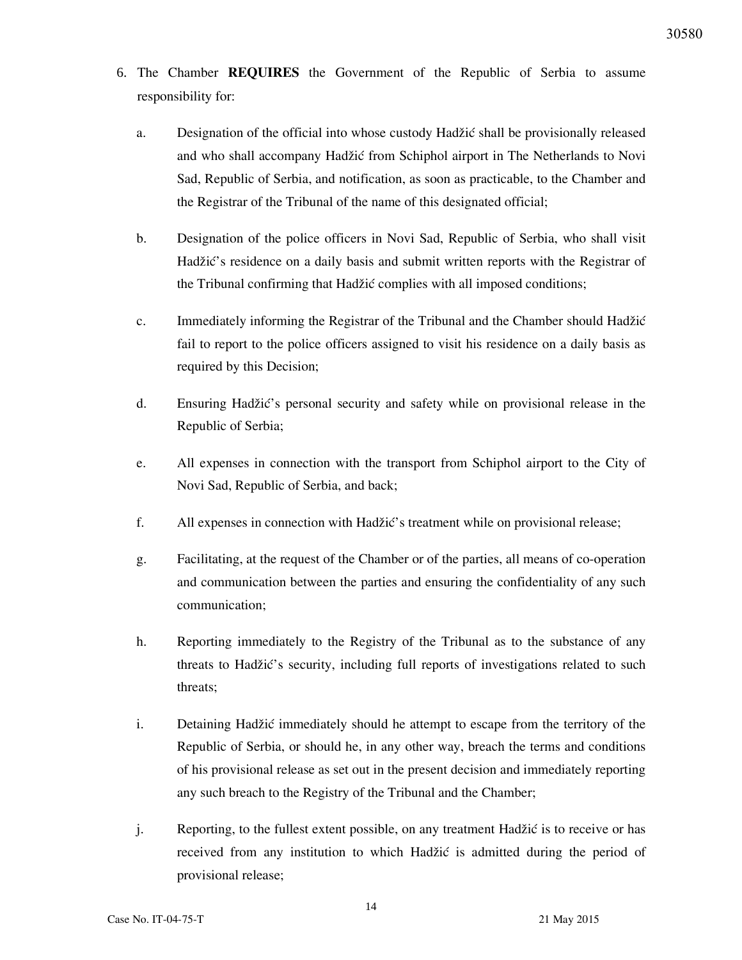- 6. The Chamber **REQUIRES** the Government of the Republic of Serbia to assume responsibility for:
	- a. Designation of the official into whose custody Hadžić shall be provisionally released and who shall accompany Hadžić from Schiphol airport in The Netherlands to Novi Sad, Republic of Serbia, and notification, as soon as practicable, to the Chamber and the Registrar of the Tribunal of the name of this designated official;
	- b. Designation of the police officers in Novi Sad, Republic of Serbia, who shall visit Hadžić's residence on a daily basis and submit written reports with the Registrar of the Tribunal confirming that Hadžić complies with all imposed conditions;
	- c. Immediately informing the Registrar of the Tribunal and the Chamber should Hadžić fail to report to the police officers assigned to visit his residence on a daily basis as required by this Decision;
	- d. Ensuring Hadžić's personal security and safety while on provisional release in the Republic of Serbia;
	- e. All expenses in connection with the transport from Schiphol airport to the City of Novi Sad, Republic of Serbia, and back;
	- f. All expenses in connection with Hadžić's treatment while on provisional release;
	- g. Facilitating, at the request of the Chamber or of the parties, all means of co-operation and communication between the parties and ensuring the confidentiality of any such communication;
	- h. Reporting immediately to the Registry of the Tribunal as to the substance of any threats to Hadžić's security, including full reports of investigations related to such threats;
	- i. Detaining Hadžić immediately should he attempt to escape from the territory of the Republic of Serbia, or should he, in any other way, breach the terms and conditions of his provisional release as set out in the present decision and immediately reporting any such breach to the Registry of the Tribunal and the Chamber;
	- j. Reporting, to the fullest extent possible, on any treatment Hadžić is to receive or has received from any institution to which Hadžić is admitted during the period of provisional release;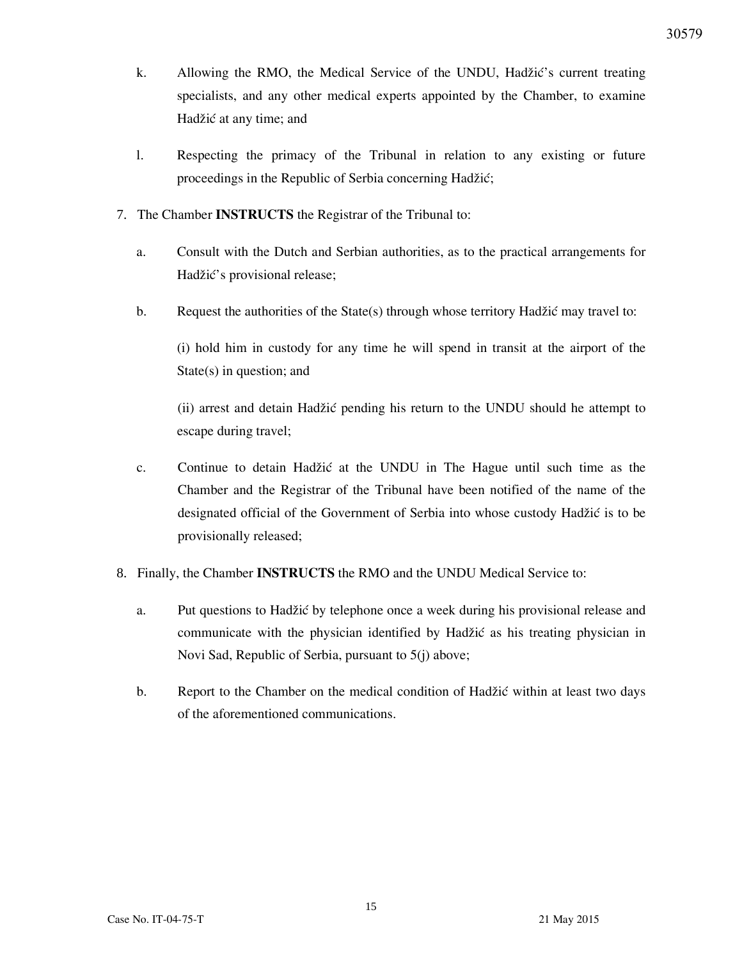- k. Allowing the RMO, the Medical Service of the UNDU, Hadžić's current treating specialists, and any other medical experts appointed by the Chamber, to examine Hadžić at any time; and
- l. Respecting the primacy of the Tribunal in relation to any existing or future proceedings in the Republic of Serbia concerning Hadžić;
- 7. The Chamber **INSTRUCTS** the Registrar of the Tribunal to:
	- a. Consult with the Dutch and Serbian authorities, as to the practical arrangements for Hadžić's provisional release;
	- b. Request the authorities of the State(s) through whose territory Hadžić may travel to:

(i) hold him in custody for any time he will spend in transit at the airport of the State(s) in question; and

(ii) arrest and detain Hadžić pending his return to the UNDU should he attempt to escape during travel;

- c. Continue to detain Hadžić at the UNDU in The Hague until such time as the Chamber and the Registrar of the Tribunal have been notified of the name of the designated official of the Government of Serbia into whose custody Hadžić is to be provisionally released;
- 8. Finally, the Chamber **INSTRUCTS** the RMO and the UNDU Medical Service to:
	- a. Put questions to Hadžić by telephone once a week during his provisional release and communicate with the physician identified by Hadžić as his treating physician in Novi Sad, Republic of Serbia, pursuant to 5(j) above;
	- b. Report to the Chamber on the medical condition of Hadžić within at least two days of the aforementioned communications.